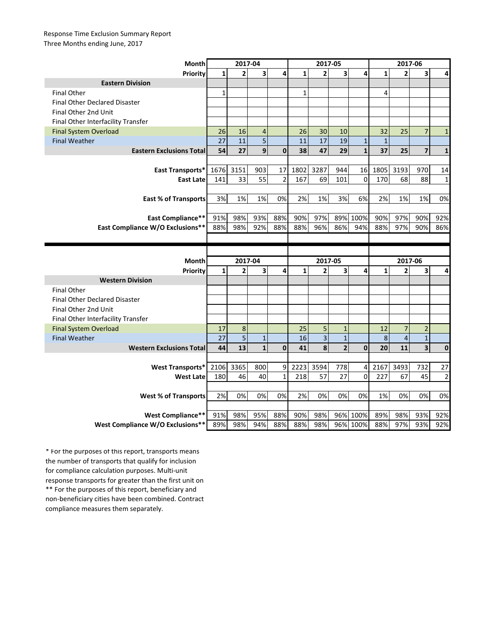## Response Time Exclusion Summary Report Three Months ending June, 2017

| Month                                                        | 2017-04      |                |                |                | 2017-05      |                         |                         |                      | 2017-06      |                |                         |                |
|--------------------------------------------------------------|--------------|----------------|----------------|----------------|--------------|-------------------------|-------------------------|----------------------|--------------|----------------|-------------------------|----------------|
| <b>Priority</b>                                              | $\mathbf{1}$ | $\overline{2}$ | 3              | 4              | $\mathbf{1}$ | $\overline{2}$          | $\overline{\mathbf{3}}$ | 4                    | $\mathbf{1}$ | $\overline{2}$ | 3                       | 4              |
| <b>Eastern Division</b>                                      |              |                |                |                |              |                         |                         |                      |              |                |                         |                |
| <b>Final Other</b>                                           | $\mathbf{1}$ |                |                |                | $\mathbf{1}$ |                         |                         |                      | 4            |                |                         |                |
| <b>Final Other Declared Disaster</b>                         |              |                |                |                |              |                         |                         |                      |              |                |                         |                |
| Final Other 2nd Unit                                         |              |                |                |                |              |                         |                         |                      |              |                |                         |                |
| Final Other Interfacility Transfer                           |              |                |                |                |              |                         |                         |                      |              |                |                         |                |
| <b>Final System Overload</b>                                 | 26           | 16             | $\overline{4}$ |                | 26           | 30                      | 10                      |                      | 32           | 25             | $\overline{7}$          | $\mathbf{1}$   |
| <b>Final Weather</b>                                         | 27           | 11             | 5              |                | 11           | 17                      | 19                      | $\mathbf{1}$         | $\mathbf{1}$ |                |                         |                |
| <b>Eastern Exclusions Total</b>                              | 54           | 27             | $\mathbf{9}$   | $\mathbf{0}$   | 38           | 47                      | 29                      | $\mathbf{1}$         | 37           | 25             | $\overline{\mathbf{z}}$ | $\mathbf{1}$   |
|                                                              |              |                |                |                |              |                         |                         |                      |              |                |                         |                |
| East Transports*                                             | 1676         | 3151           | 903            | 17             | 1802         | 3287                    | 944                     | 16                   | 1805         | 3193           | 970                     | 14             |
| <b>East Late</b>                                             | 141          | 33             | 55             | $\overline{2}$ | 167          | 69                      | 101                     | $\mathbf 0$          | 170          | 68             | 88                      | $\mathbf{1}$   |
|                                                              |              |                |                |                |              |                         |                         |                      |              |                |                         |                |
| <b>East % of Transports</b>                                  | 3%           | 1%             | 1%             | 0%             | 2%           | 1%                      | 3%                      | 6%                   | 2%           | 1%             | 1%                      | 0%             |
|                                                              |              |                |                |                |              |                         |                         |                      |              |                |                         |                |
| East Compliance**                                            | 91%          | 98%            | 93%            | 88%            | 90%          | 97%                     |                         | 89% 100%             | 90%          | 97%            | 90%                     | 92%            |
| <b>East Compliance W/O Exclusions**</b>                      | 88%          | 98%            | 92%            | 88%            | 88%          | 96%                     | 86%                     | 94%                  | 88%          | 97%            | 90%                     | 86%            |
|                                                              |              |                |                |                |              |                         |                         |                      |              |                |                         |                |
|                                                              |              |                |                |                |              |                         |                         |                      |              |                |                         |                |
|                                                              |              |                |                |                |              |                         |                         |                      |              |                |                         |                |
| <b>Month</b>                                                 |              | 2017-04        |                |                |              | 2017-05                 |                         |                      |              | 2017-06        |                         |                |
| Priority                                                     | $\mathbf{1}$ | 2              | 3              | 4              | $\mathbf{1}$ | $\overline{2}$          | 3                       | 4                    | 1            | $\overline{2}$ | 3                       | 4              |
| <b>Western Division</b>                                      |              |                |                |                |              |                         |                         |                      |              |                |                         |                |
| <b>Final Other</b>                                           |              |                |                |                |              |                         |                         |                      |              |                |                         |                |
| <b>Final Other Declared Disaster</b>                         |              |                |                |                |              |                         |                         |                      |              |                |                         |                |
| Final Other 2nd Unit                                         |              |                |                |                |              |                         |                         |                      |              |                |                         |                |
| Final Other Interfacility Transfer                           |              |                |                |                |              |                         |                         |                      |              |                |                         |                |
| <b>Final System Overload</b>                                 | 17           | 8              |                |                | 25           | 5                       | $\mathbf{1}$            |                      | 12           | $\overline{7}$ | $\overline{2}$          |                |
| <b>Final Weather</b>                                         | 27           | 5              | $\mathbf{1}$   |                | 16           | $\overline{\mathbf{3}}$ | $\mathbf{1}$            |                      | 8            | $\overline{4}$ | $\overline{1}$          |                |
| <b>Western Exclusions Total</b>                              | 44           | 13             | $\mathbf{1}$   | $\mathbf 0$    | 41           | 8                       | $\overline{2}$          | $\mathbf 0$          | 20           | 11             | 3                       | $\mathbf 0$    |
|                                                              |              |                |                |                |              |                         |                         |                      |              |                |                         |                |
| <b>West Transports*</b>                                      | 2106         | 3365           | 800            | 9              | 2223         | 3594                    | 778                     | 4                    | 2167         | 3493           | 732                     | 27             |
| <b>West Late</b>                                             | 180          | 46             | 40             | $\overline{1}$ | 218          | 57                      | 27                      | $\mathbf 0$          | 227          | 67             | 45                      | $\overline{2}$ |
|                                                              |              |                |                |                |              |                         |                         |                      |              |                |                         |                |
| <b>West % of Transports</b>                                  | 2%           | 0%             | 0%             | 0%             | 2%           | 0%                      | 0%                      | 0%                   | 1%           | 0%             | 0%                      | 0%             |
|                                                              |              |                |                |                |              |                         |                         |                      |              |                |                         |                |
| <b>West Compliance**</b><br>West Compliance W/O Exclusions** | 91%          | 98%<br>98%     | 95%<br>94%     | 88%<br>88%     | 90%<br>88%   | 98%<br>98%              |                         | 96% 100%<br>96% 100% | 89%<br>88%   | 98%<br>97%     | 93%<br>93%              | 92%            |

\*\* For the purposes of this report, beneficiary and non-beneficiary cities have been combined. Contract compliance measures them separately. \* For the purposes of this report, transports means the number of transports that qualify for inclusion for compliance calculation purposes. Multi-unit response transports for greater than the first unit on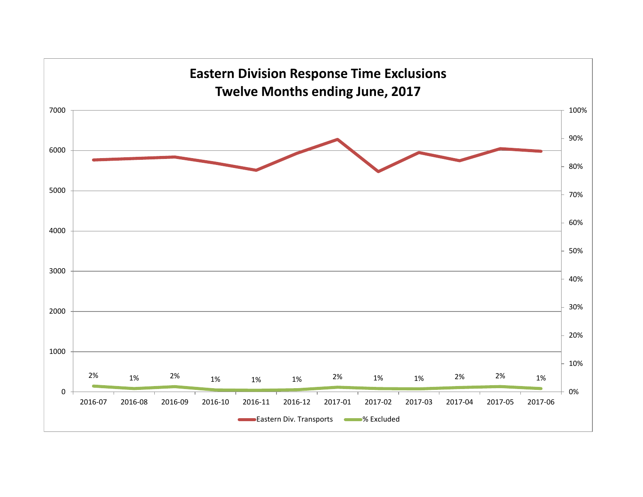